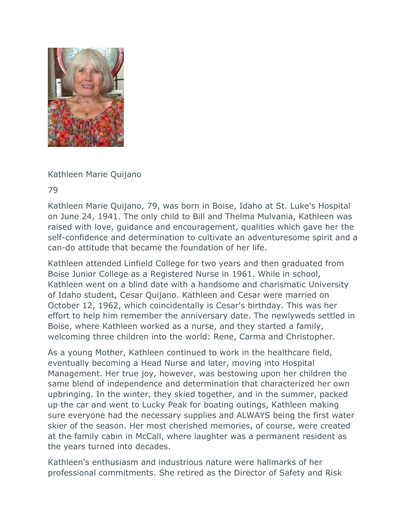

Kathleen Marie Quijano

79

Kathleen Marie Quijano, 79, was born in Boise, Idaho at St. Luke's Hospital on June 24, 1941. The only child to Bill and Thelma Mulvania, Kathleen was raised with love, guidance and encouragement, qualities which gave her the self-confidence and determination to cultivate an adventuresome spirit and a can-do attitude that became the foundation of her life.

Kathleen attended Linfield College for two years and then graduated from Boise Junior College as a Registered Nurse in 1961. While in school, Kathleen went on a blind date with a handsome and charismatic University of Idaho student, Cesar Quijano. Kathleen and Cesar were married on October 12, 1962, which coincidentally is Cesar's birthday. This was her effort to help him remember the anniversary date. The newlyweds settled in Boise, where Kathleen worked as a nurse, and they started a family, welcoming three children into the world: Rene, Carma and Christopher.

As a young Mother, Kathleen continued to work in the healthcare field, eventually becoming a Head Nurse and later, moving into Hospital Management. Her true joy, however, was bestowing upon her children the same blend of independence and determination that characterized her own upbringing. In the winter, they skied together, and in the summer, packed up the car and went to Lucky Peak for boating outings, Kathleen making sure everyone had the necessary supplies and ALWAYS being the first water skier of the season. Her most cherished memories, of course, were created at the family cabin in McCall, where laughter was a permanent resident as the years turned into decades.

Kathleen's enthusiasm and industrious nature were hallmarks of her professional commitments. She retired as the Director of Safety and Risk